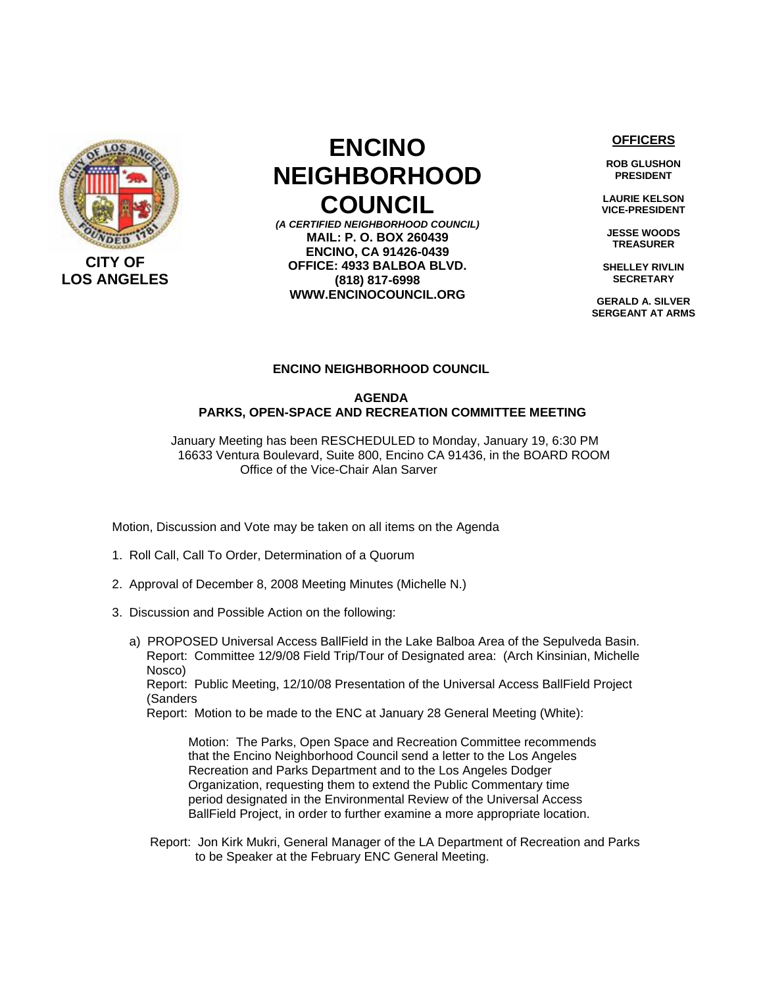

## **ENCINO NEIGHBORHOOD COUNCIL**

*(A CERTIFIED NEIGHBORHOOD COUNCIL)* **MAIL: P. O. BOX 260439 ENCINO, CA 91426-0439 OFFICE: 4933 BALBOA BLVD. (818) 817-6998 WWW.ENCINOCOUNCIL.ORG**

**OFFICERS**

**ROB GLUSHON PRESIDENT** 

**LAURIE KELSON VICE-PRESIDENT** 

**JESSE WOODS TREASURER** 

**SHELLEY RIVLIN SECRETARY** 

**GERALD A. SILVER SERGEANT AT ARMS**

## **ENCINO NEIGHBORHOOD COUNCIL**

## **AGENDA PARKS, OPEN-SPACE AND RECREATION COMMITTEE MEETING**

 January Meeting has been RESCHEDULED to Monday, January 19, 6:30 PM 16633 Ventura Boulevard, Suite 800, Encino CA 91436, in the BOARD ROOM Office of the Vice-Chair Alan Sarver

Motion, Discussion and Vote may be taken on all items on the Agenda

- 1. Roll Call, Call To Order, Determination of a Quorum
- 2. Approval of December 8, 2008 Meeting Minutes (Michelle N.)
- 3. Discussion and Possible Action on the following:
	- a) PROPOSED Universal Access BallField in the Lake Balboa Area of the Sepulveda Basin. Report: Committee 12/9/08 Field Trip/Tour of Designated area: (Arch Kinsinian, Michelle Nosco)

 Report: Public Meeting, 12/10/08 Presentation of the Universal Access BallField Project (Sanders

Report: Motion to be made to the ENC at January 28 General Meeting (White):

 Motion: The Parks, Open Space and Recreation Committee recommends that the Encino Neighborhood Council send a letter to the Los Angeles Recreation and Parks Department and to the Los Angeles Dodger Organization, requesting them to extend the Public Commentary time period designated in the Environmental Review of the Universal Access BallField Project, in order to further examine a more appropriate location.

 Report: Jon Kirk Mukri, General Manager of the LA Department of Recreation and Parks to be Speaker at the February ENC General Meeting.